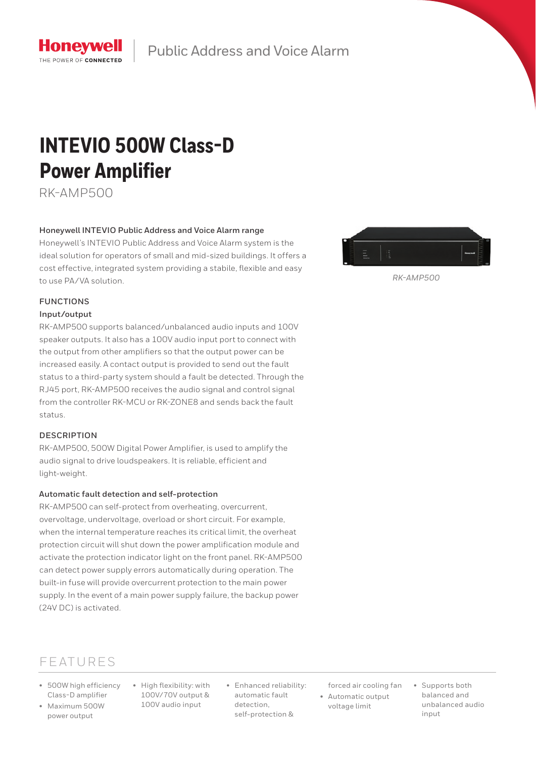

Public Address and Voice Alarm

# **INTEVIO 500W Class-D Power Amplifier**

RK-AMP500

## **Honeywell INTEVIO Public Address and Voice Alarm range**

Honeywell's INTEVIO Public Address and Voice Alarm system is the ideal solution for operators of small and mid-sized buildings. It offers a cost effective, integrated system providing a stabile, flexible and easy to use PA/VA solution.

# **FUNCTIONS**

### **Input/output**

RK-AMP500 supports balanced/unbalanced audio inputs and 100V speaker outputs. It also has a 100V audio input port to connect with the output from other amplifiers so that the output power can be increased easily. A contact output is provided to send out the fault status to a third-party system should a fault be detected. Through the RJ45 port, RK-AMP500 receives the audio signal and control signal from the controller RK-MCU or RK-ZONE8 and sends back the fault status.

## **DESCRIPTION**

RK-AMP500, 500W Digital Power Amplifier, is used to amplify the audio signal to drive loudspeakers. It is reliable, efficient and light-weight.

## **Automatic fault detection and self-protection**

RK-AMP500 can self-protect from overheating, overcurrent, overvoltage, undervoltage, overload or short circuit. For example, when the internal temperature reaches its critical limit, the overheat protection circuit will shut down the power amplification module and activate the protection indicator light on the front panel. RK-AMP500 can detect power supply errors automatically during operation. The built-in fuse will provide overcurrent protection to the main power supply. In the event of a main power supply failure, the backup power (24V DC) is activated.



*RK-AMP500*

# FEATURES

- 500W high efficiency Class-D amplifier
- Maximum 500W power output
- High flexibility: with 100V/70V output & 100V audio input
- Enhanced reliability: automatic fault detection, self-protection &

forced air cooling fan

- Automatic output voltage limit
- Supports both balanced and unbalanced audio input